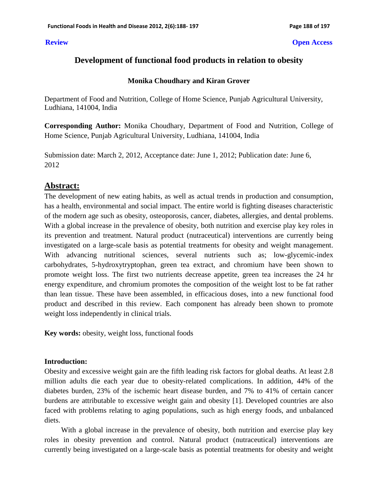#### **Review Open Access**

# **Development of functional food products in relation to obesity**

#### **Monika Choudhary and Kiran Grover**

Department of Food and Nutrition, College of Home Science, Punjab Agricultural University, Ludhiana, 141004, India

**Corresponding Author:** Monika Choudhary, Department of Food and Nutrition, College of Home Science, Punjab Agricultural University, Ludhiana, 141004, India

Submission date: March 2, 2012, Acceptance date: June 1, 2012; Publication date: June 6, 2012

# **Abstract:**

The development of new eating habits, as well as actual trends in production and consumption, has a health, environmental and social impact. The entire world is fighting diseases characteristic of the modern age such as obesity, osteoporosis, cancer, diabetes, allergies, and dental problems. With a global increase in the prevalence of obesity, both nutrition and exercise play key roles in its prevention and treatment. Natural product (nutraceutical) interventions are currently being investigated on a large-scale basis as potential treatments for obesity and weight management. With advancing nutritional sciences, several nutrients such as; low-glycemic-index carbohydrates, 5-hydroxytryptophan, green tea extract, and chromium have been shown to promote weight loss. The first two nutrients decrease appetite, green tea increases the 24 hr energy expenditure, and chromium promotes the composition of the weight lost to be fat rather than lean tissue. These have been assembled, in efficacious doses, into a new functional food product and described in this review. Each component has already been shown to promote weight loss independently in clinical trials.

**Key words:** obesity, weight loss, functional foods

## **Introduction:**

Obesity and excessive weight gain are the fifth leading risk factors for global deaths. At least 2.8 million adults die each year due to obesity-related complications. In addition, 44% of the diabetes burden, 23% of the ischemic heart disease burden, and 7% to 41% of certain cancer burdens are attributable to excessive weight gain and obesity [1]. Developed countries are also faced with problems relating to aging populations, such as high energy foods, and unbalanced diets.

With a global increase in the prevalence of obesity, both nutrition and exercise play key roles in obesity prevention and control. Natural product (nutraceutical) interventions are currently being investigated on a large-scale basis as potential treatments for obesity and weight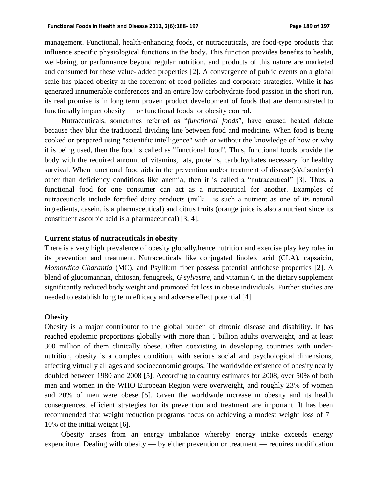management. Functional, health-enhancing foods, or nutraceuticals, are food-type products that influence specific physiological functions in the body. This function provides benefits to health, well-being, or performance beyond regular nutrition, and products of this nature are marketed and consumed for these value- added properties [2]. A convergence of public events on a global scale has placed obesity at the forefront of food policies and corporate strategies. While it has generated innumerable conferences and an entire low carbohydrate food passion in the short run, its real promise is in long term proven product development of foods that are demonstrated to functionally impact obesity — or functional foods for obesity control.

Nutraceuticals, sometimes referred as "*functional foods*", have caused heated debate because they blur the traditional dividing line between food and medicine. When food is being cooked or prepared using "scientific intelligence" with or without the knowledge of how or why it is being used, then the food is called as "functional food". Thus, functional foods provide the body with the required amount of vitamins, fats, proteins, carbohydrates necessary for healthy survival. When functional food aids in the prevention and/or treatment of disease(s)/disorder(s) other than deficiency conditions like anemia, then it is called a "nutraceutical" [3]. Thus, a functional food for one consumer can act as a nutraceutical for another. Examples of nutraceuticals include fortified dairy products (milk is such a nutrient as one of its natural ingredients, casein, is a pharmaceutical) and citrus fruits (orange juice is also a nutrient since its constituent ascorbic acid is a pharmaceutical) [3, 4].

#### **Current status of nutraceuticals in obesity**

There is a very high prevalence of obesity globally,hence nutrition and exercise play key roles in its prevention and treatment. Nutraceuticals like conjugated linoleic acid (CLA), capsaicin, *Momordica Charantia* (MC), and Psyllium fiber possess potential antiobese properties [2]. A blend of glucomannan, chitosan, fenugreek, *G sylvestre*, and vitamin C in the dietary supplement significantly reduced body weight and promoted fat loss in obese individuals. Further studies are needed to establish long term efficacy and adverse effect potential [4].

#### **Obesity**

Obesity is a major contributor to the global burden of chronic disease and disability. It has reached epidemic proportions globally with more than 1 billion adults overweight, and at least 300 million of them clinically obese. Often coexisting in developing countries with undernutrition, obesity is a complex condition, with serious social and psychological dimensions, affecting virtually all ages and socioeconomic groups. The worldwide existence of obesity nearly doubled between 1980 and 2008 [5]. According to country estimates for 2008, over 50% of both men and women in the WHO European Region were overweight, and roughly 23% of women and 20% of men were obese [5]. Given the worldwide increase in obesity and its health consequences, efficient strategies for its prevention and treatment are important. It has been recommended that weight reduction programs focus on achieving a modest weight loss of 7– 10% of the initial weight [6].

Obesity arises from an energy imbalance whereby energy intake exceeds energy expenditure. Dealing with obesity — by either prevention or treatment — requires modification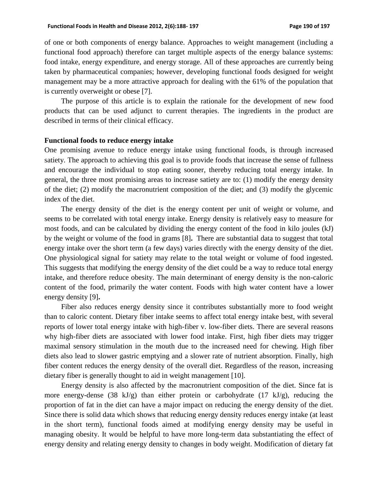of one or both components of energy balance. Approaches to weight management (including a functional food approach) therefore can target multiple aspects of the energy balance systems: food intake, energy expenditure, and energy storage. All of these approaches are currently being taken by pharmaceutical companies; however, developing functional foods designed for weight management may be a more attractive approach for dealing with the 61% of the population that is currently overweight or obese [7].

The purpose of this article is to explain the rationale for the development of new food products that can be used adjunct to current therapies. The ingredients in the product are described in terms of their clinical efficacy.

#### **Functional foods to reduce energy intake**

One promising avenue to reduce energy intake using functional foods, is through increased satiety. The approach to achieving this goal is to provide foods that increase the sense of fullness and encourage the individual to stop eating sooner, thereby reducing total energy intake. In general, the three most promising areas to increase satiety are to: (1) modify the energy density of the diet; (2) modify the macronutrient composition of the diet; and (3) modify the glycemic index of the diet.

The energy density of the diet is the energy content per unit of weight or volume, and seems to be correlated with total energy intake. Energy density is relatively easy to measure for most foods, and can be calculated by dividing the energy content of the food in kilo joules (kJ) by the weight or volume of the food in grams [8]**.** There are substantial data to suggest that total energy intake over the short term (a few days) varies directly with the energy density of the diet. One physiological signal for satiety may relate to the total weight or volume of food ingested. This suggests that modifying the energy density of the diet could be a way to reduce total energy intake, and therefore reduce obesity. The main determinant of energy density is the non-caloric content of the food, primarily the water content. Foods with high water content have a lower energy density [9]**.**

Fiber also reduces energy density since it contributes substantially more to food weight than to caloric content. Dietary fiber intake seems to affect total energy intake best, with several reports of lower total energy intake with high-fiber v. low-fiber diets. There are several reasons why high-fiber diets are associated with lower food intake. First, high fiber diets may trigger maximal sensory stimulation in the mouth due to the increased need for chewing. High fiber diets also lead to slower gastric emptying and a slower rate of nutrient absorption. Finally, high fiber content reduces the energy density of the overall diet. Regardless of the reason, increasing dietary fiber is generally thought to aid in weight management [10].

Energy density is also affected by the macronutrient composition of the diet. Since fat is more energy-dense (38 kJ/g) than either protein or carbohydrate (17 kJ/g), reducing the proportion of fat in the diet can have a major impact on reducing the energy density of the diet. Since there is solid data which shows that reducing energy density reduces energy intake (at least in the short term), functional foods aimed at modifying energy density may be useful in managing obesity. It would be helpful to have more long-term data substantiating the effect of energy density and relating energy density to changes in body weight. Modification of dietary fat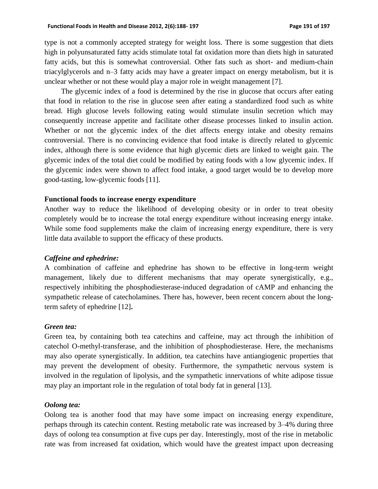type is not a commonly accepted strategy for weight loss. There is some suggestion that diets high in polyunsaturated fatty acids stimulate total fat oxidation more than diets high in saturated fatty acids, but this is somewhat controversial. Other fats such as short- and medium-chain triacylglycerols and n–3 fatty acids may have a greater impact on energy metabolism, but it is unclear whether or not these would play a major role in weight management [7].

The glycemic index of a food is determined by the rise in glucose that occurs after eating that food in relation to the rise in glucose seen after eating a standardized food such as white bread. High glucose levels following eating would stimulate insulin secretion which may consequently increase appetite and facilitate other disease processes linked to insulin action. Whether or not the glycemic index of the diet affects energy intake and obesity remains controversial. There is no convincing evidence that food intake is directly related to glycemic index, although there is some evidence that high glycemic diets are linked to weight gain. The glycemic index of the total diet could be modified by eating foods with a low glycemic index. If the glycemic index were shown to affect food intake, a good target would be to develop more good-tasting, low-glycemic foods [11].

## **Functional foods to increase energy expenditure**

Another way to reduce the likelihood of developing obesity or in order to treat obesity completely would be to increase the total energy expenditure without increasing energy intake. While some food supplements make the claim of increasing energy expenditure, there is very little data available to support the efficacy of these products.

## *Caffeine and ephedrine:*

A combination of caffeine and ephedrine has shown to be effective in long-term weight management, likely due to different mechanisms that may operate synergistically, e.g., respectively inhibiting the phosphodiesterase-induced degradation of cAMP and enhancing the sympathetic release of catecholamines. There has, however, been recent concern about the longterm safety of ephedrine [12]**.**

## *Green tea:*

Green tea, by containing both tea catechins and caffeine, may act through the inhibition of catechol O-methyl-transferase, and the inhibition of phosphodiesterase. Here, the mechanisms may also operate synergistically. In addition, tea catechins have antiangiogenic properties that may prevent the development of obesity. Furthermore, the sympathetic nervous system is involved in the regulation of lipolysis, and the sympathetic innervations of white adipose tissue may play an important role in the regulation of total body fat in general [13].

## *Oolong tea:*

Oolong tea is another food that may have some impact on increasing energy expenditure, perhaps through its catechin content. Resting metabolic rate was increased by 3–4% during three days of oolong tea consumption at five cups per day. Interestingly, most of the rise in metabolic rate was from increased fat oxidation, which would have the greatest impact upon decreasing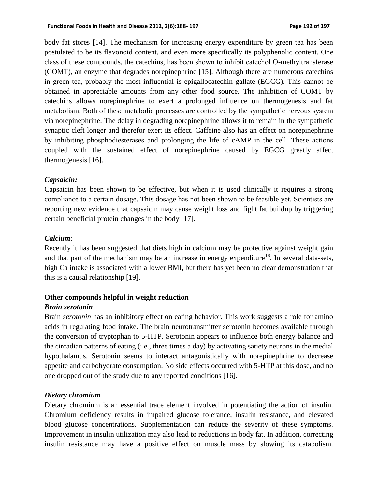body fat stores [14]. The mechanism for increasing energy expenditure by green tea has been postulated to be its flavonoid content, and even more specifically its polyphenolic content. One class of these compounds, the catechins, has been shown to inhibit catechol Ο-methyltransferase (COMT), an enzyme that degrades norepinephrine [15]. Although there are numerous catechins in green tea, probably the most influential is epigallocatechin gallate (EGCG). This cannot be obtained in appreciable amounts from any other food source. The inhibition of COMT by catechins allows norepinephrine to exert a prolonged influence on thermogenesis and fat metabolism. Both of these metabolic processes are controlled by the sympathetic nervous system via norepinephrine. The delay in degrading norepinephrine allows it to remain in the sympathetic synaptic cleft longer and therefor exert its effect. Caffeine also has an effect on norepinephrine by inhibiting phosphodiesterases and prolonging the life of cAMP in the cell. These actions coupled with the sustained effect of norepinephrine caused by EGCG greatly affect thermogenesis [16].

## *Capsaicin:*

Capsaicin has been shown to be effective, but when it is used clinically it requires a strong compliance to a certain dosage. This dosage has not been shown to be feasible yet. Scientists are reporting new evidence that capsaicin may cause weight loss and fight fat buildup by triggering certain beneficial protein changes in the body [17].

## *Calcium:*

Recently it has been suggested that diets high in calcium may be protective against weight gain and that part of the mechanism may be an increase in energy expenditure<sup>18</sup>. In several data-sets, high Ca intake is associated with a lower BMI, but there has yet been no clear demonstration that this is a causal relationship [19].

## **Other compounds helpful in weight reduction**

## *Brain serotonin*

Brain *serotonin* has an inhibitory effect on eating behavior. This work suggests a role for amino acids in regulating food intake. The brain neurotransmitter serotonin becomes available through the conversion of tryptophan to 5-HTP. Serotonin appears to influence both energy balance and the circadian patterns of eating (i.e., three times a day) by activating satiety neurons in the medial hypothalamus. Serotonin seems to interact antagonistically with norepinephrine to decrease appetite and carbohydrate consumption. No side effects occurred with 5-HTP at this dose, and no one dropped out of the study due to any reported conditions [16].

## *Dietary chromium*

Dietary chromium is an essential trace element involved in potentiating the action of insulin. Chromium deficiency results in impaired glucose tolerance, insulin resistance, and elevated blood glucose concentrations. Supplementation can reduce the severity of these symptoms. Improvement in insulin utilization may also lead to reductions in body fat. In addition, correcting insulin resistance may have a positive effect on muscle mass by slowing its catabolism.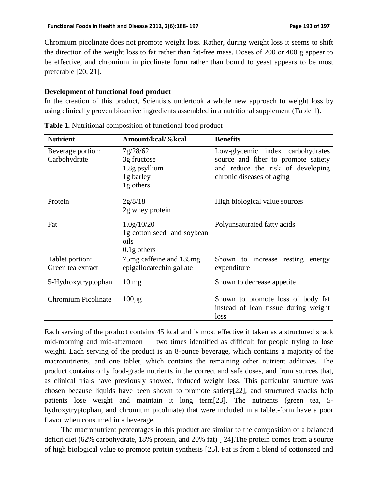Chromium picolinate does not promote weight loss. Rather, during weight loss it seems to shift the direction of the weight loss to fat rather than fat-free mass. Doses of 200 or 400 g appear to be effective, and chromium in picolinate form rather than bound to yeast appears to be most preferable [20, 21].

## **Development of functional food product**

In the creation of this product, Scientists undertook a whole new approach to weight loss by using clinically proven bioactive ingredients assembled in a nutritional supplement (Table 1).

| <b>Nutrient</b>                      | Amount/kcal/%kcal                                                  | <b>Benefits</b>                                                                                                                           |
|--------------------------------------|--------------------------------------------------------------------|-------------------------------------------------------------------------------------------------------------------------------------------|
| Beverage portion:<br>Carbohydrate    | 7g/28/62<br>3g fructose<br>1.8g psyllium<br>1g barley<br>1g others | Low-glycemic index carbohydrates<br>source and fiber to promote satiety<br>and reduce the risk of developing<br>chronic diseases of aging |
| Protein                              | 2g/8/18<br>2g whey protein                                         | High biological value sources                                                                                                             |
| Fat                                  | 1.0g/10/20<br>1g cotton seed and soybean<br>oils<br>$0.1$ g others | Polyunsaturated fatty acids                                                                                                               |
| Tablet portion:<br>Green tea extract | 75mg caffeine and 135mg<br>epigallocatechin gallate                | Shown to increase resting energy<br>expenditure                                                                                           |
| 5-Hydroxytryptophan                  | $10 \text{ mg}$                                                    | Shown to decrease appetite                                                                                                                |
| <b>Chromium Picolinate</b>           | $100\mu$ g                                                         | Shown to promote loss of body fat<br>instead of lean tissue during weight<br>loss                                                         |

**Table 1.** Nutritional composition of functional food product

Each serving of the product contains 45 kcal and is most effective if taken as a structured snack mid-morning and mid-afternoon — two times identified as difficult for people trying to lose weight. Each serving of the product is an 8-ounce beverage, which contains a majority of the macronutrients, and one tablet, which contains the remaining other nutrient additives. The product contains only food-grade nutrients in the correct and safe doses, and from sources that, as clinical trials have previously showed, induced weight loss. This particular structure was chosen because liquids have been shown to promote satiety[22], and structured snacks help patients lose weight and maintain it long term[23]. The nutrients (green tea, 5 hydroxytryptophan, and chromium picolinate) that were included in a tablet-form have a poor flavor when consumed in a beverage.

The macronutrient percentages in this product are similar to the composition of a balanced deficit diet (62% carbohydrate, 18% protein, and 20% fat) [ 24].The protein comes from a source of high biological value to promote protein synthesis [25]. Fat is from a blend of cottonseed and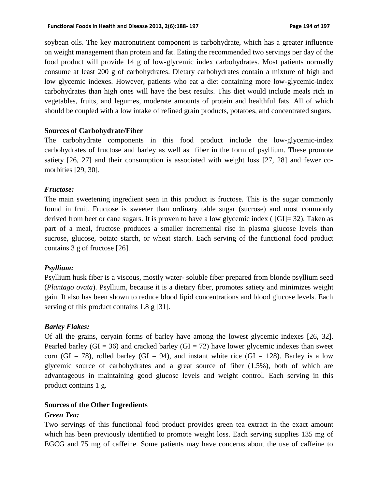soybean oils. The key macronutrient component is carbohydrate, which has a greater influence on weight management than protein and fat. Eating the recommended two servings per day of the food product will provide 14 g of low-glycemic index carbohydrates. Most patients normally consume at least 200 g of carbohydrates. Dietary carbohydrates contain a mixture of high and low glycemic indexes. However, patients who eat a diet containing more low-glycemic-index carbohydrates than high ones will have the best results. This diet would include meals rich in vegetables, fruits, and legumes, moderate amounts of protein and healthful fats. All of which should be coupled with a low intake of refined grain products, potatoes, and concentrated sugars.

## **Sources of Carbohydrate/Fiber**

The carbohydrate components in this food product include the low-glycemic-index carbohydrates of fructose and barley as well as fiber in the form of psyllium. These promote satiety [26, 27] and their consumption is associated with weight loss [27, 28] and fewer comorbities [29, 30].

## *Fructose:*

The main sweetening ingredient seen in this product is fructose. This is the sugar commonly found in fruit. Fructose is sweeter than ordinary table sugar (sucrose) and most commonly derived from beet or cane sugars. It is proven to have a low glycemic index ( [GI]= 32). Taken as part of a meal, fructose produces a smaller incremental rise in plasma glucose levels than sucrose, glucose, potato starch, or wheat starch. Each serving of the functional food product contains 3 g of fructose [26].

## *Psyllium:*

Psyllium husk fiber is a viscous, mostly water- soluble fiber prepared from blonde psyllium seed (*Plantago ovata*). Psyllium, because it is a dietary fiber, promotes satiety and minimizes weight gain. It also has been shown to reduce blood lipid concentrations and blood glucose levels. Each serving of this product contains 1.8 g [31].

## *Barley Flakes:*

Of all the grains, ceryain forms of barley have among the lowest glycemic indexes [26, 32]. Pearled barley (GI = 36) and cracked barley (GI = 72) have lower glycemic indexes than sweet corn (GI = 78), rolled barley (GI = 94), and instant white rice (GI = 128). Barley is a low glycemic source of carbohydrates and a great source of fiber (1.5%), both of which are advantageous in maintaining good glucose levels and weight control. Each serving in this product contains 1 g.

## **Sources of the Other Ingredients**

## *Green Tea:*

Two servings of this functional food product provides green tea extract in the exact amount which has been previously identified to promote weight loss. Each serving supplies 135 mg of EGCG and 75 mg of caffeine. Some patients may have concerns about the use of caffeine to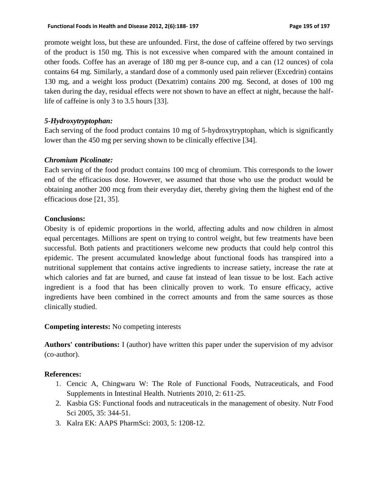promote weight loss, but these are unfounded. First, the dose of caffeine offered by two servings of the product is 150 mg. This is not excessive when compared with the amount contained in other foods. Coffee has an average of 180 mg per 8-ounce cup, and a can (12 ounces) of cola contains 64 mg. Similarly, a standard dose of a commonly used pain reliever (Excedrin) contains 130 mg, and a weight loss product (Dexatrim) contains 200 mg. Second, at doses of 100 mg taken during the day, residual effects were not shown to have an effect at night, because the halflife of caffeine is only 3 to 3.5 hours [33].

# *5-Hydroxytryptophan:*

Each serving of the food product contains 10 mg of 5-hydroxytryptophan, which is significantly lower than the 450 mg per serving shown to be clinically effective [34].

# *Chromium Picolinate:*

Each serving of the food product contains 100 mcg of chromium. This corresponds to the lower end of the efficacious dose. However, we assumed that those who use the product would be obtaining another 200 mcg from their everyday diet, thereby giving them the highest end of the efficacious dose [21, 35].

# **Conclusions:**

Obesity is of epidemic proportions in the world, affecting adults and now children in almost equal percentages. Millions are spent on trying to control weight, but few treatments have been successful. Both patients and practitioners welcome new products that could help control this epidemic. The present accumulated knowledge about functional foods has transpired into a nutritional supplement that contains active ingredients to increase satiety, increase the rate at which calories and fat are burned, and cause fat instead of lean tissue to be lost. Each active ingredient is a food that has been clinically proven to work. To ensure efficacy, active ingredients have been combined in the correct amounts and from the same sources as those clinically studied.

## **Competing interests:** No competing interests

**Authors' contributions:** I (author) have written this paper under the supervision of my advisor (co-author).

## **References:**

- 1. Cencic A, Chingwaru W: The Role of Functional Foods, Nutraceuticals, and Food Supplements in Intestinal Health. Nutrients 2010, 2: 611-25.
- 2. Kasbia GS: Functional foods and nutraceuticals in the management of obesity. Nutr Food Sci 2005, 35: 344-51.
- 3. Kalra EK: AAPS PharmSci: 2003, 5: 1208-12.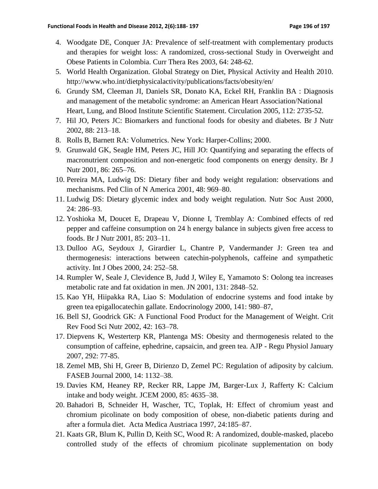- 4. Woodgate DE, Conquer JA: Prevalence of self-treatment with complementary products and therapies for weight loss: A randomized, cross-sectional Study in Overweight and Obese Patients in Colombia. Curr Thera Res 2003, 64: 248-62.
- 5. World Health Organization. Global Strategy on Diet, Physical Activity and Health 2010. http://www.who.int/dietphysicalactivity/publications/facts/obesity/en/
- 6. [Grundy SM,](http://www.ncbi.nlm.nih.gov/pubmed?term=%22Grundy%20SM%22%5BAuthor%5D) [Cleeman JI,](http://www.ncbi.nlm.nih.gov/pubmed?term=%22Cleeman%20JI%22%5BAuthor%5D) [Daniels SR,](http://www.ncbi.nlm.nih.gov/pubmed?term=%22Daniels%20SR%22%5BAuthor%5D) [Donato KA,](http://www.ncbi.nlm.nih.gov/pubmed?term=%22Donato%20KA%22%5BAuthor%5D) [Eckel RH,](http://www.ncbi.nlm.nih.gov/pubmed?term=%22Eckel%20RH%22%5BAuthor%5D) [Franklin BA](http://www.ncbi.nlm.nih.gov/pubmed?term=%22Franklin%20BA%22%5BAuthor%5D) : Diagnosis and management of the metabolic syndrome: an American Heart Association/National Heart, Lung, and Blood Institute Scientific Statement. [Circulation](http://www.ncbi.nlm.nih.gov/pubmed/16157765) 2005, 112: 2735-52.
- 7. Hil JO, Peters JC: Biomarkers and functional foods for obesity and diabetes. Br J Nutr 2002, 88: 213–18.
- 8. Rolls B, Barnett RA: Volumetrics. New York: Harper-Collins; 2000.
- 9. Grunwald GK, Seagle HM, Peters JC, Hill JO: Quantifying and separating the effects of macronutrient composition and non-energetic food components on energy density. Br J Nutr 2001, 86: 265–76.
- 10. Pereira MA, Ludwig DS: Dietary fiber and body weight regulation: observations and mechanisms. Ped Clin of N America 2001, 48: 969–80.
- 11. Ludwig DS: Dietary glycemic index and body weight regulation. Nutr Soc Aust 2000, 24: 286–93.
- 12. Yoshioka M, Doucet E, Drapeau V, Dionne I, Tremblay A: Combined effects of red pepper and caffeine consumption on 24 h energy balance in subjects given free access to foods. Br J Nutr 2001, 85: 203–11.
- 13. Dulloo AG, Seydoux J, Girardier L, Chantre P, Vandermander J: Green tea and thermogenesis: interactions between catechin-polyphenols, caffeine and sympathetic activity. Int J Obes 2000, 24: 252–58.
- 14. Rumpler W, Seale J, Clevidence B, Judd J, Wiley E, Yamamoto S: Oolong tea increases metabolic rate and fat oxidation in men. JN 2001, 131: 2848–52.
- 15. Kao YH, Hiipakka RA, Liao S: Modulation of endocrine systems and food intake by green tea epigallocatechin gallate. Endocrinology 2000, 141: 980–87,
- 16. Bell SJ, Goodrick GK: A Functional Food Product for the Management of Weight. Crit Rev Food Sci Nutr 2002, 42: 163–78.
- 17. Diepvens K, Westerterp KR, Plantenga MS: Obesity and thermogenesis related to the consumption of caffeine, ephedrine, capsaicin, and green tea. AJP - Regu Physiol January 2007, 292: 77-85.
- 18. Zemel MB, Shi H, Greer B, Dirienzo D, Zemel PC: Regulation of adiposity by calcium. FASEB Journal 2000, 14: 1132–38.
- 19. Davies KM, Heaney RP, Recker RR, Lappe JM, Barger-Lux J, Rafferty K: Calcium intake and body weight. JCEM 2000, 85: 4635–38.
- 20. Bahadori B, Schneider H, Wascher, TC, Toplak, H: Effect of chromium yeast and chromium picolinate on body composition of obese, non-diabetic patients during and after a formula diet. Acta Medica Austriaca 1997, 24:185–87.
- 21. Kaats GR, Blum K, Pullin D, Keith SC, Wood R: A randomized, double-masked, placebo controlled study of the effects of chromium picolinate supplementation on body